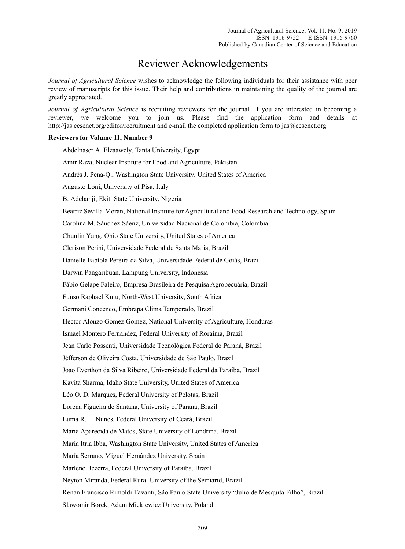## Reviewer Acknowledgements

*Journal of Agricultural Science* wishes to acknowledge the following individuals for their assistance with peer review of manuscripts for this issue. Their help and contributions in maintaining the quality of the journal are greatly appreciated.

*Journal of Agricultural Science* is recruiting reviewers for the journal. If you are interested in becoming a reviewer, we welcome you to join us. Please find the application form and details at http://jas.ccsenet.org/editor/recruitment and e-mail the completed application form to jas@ccsenet.org

## **Reviewers for Volume 11, Number 9**

Abdelnaser A. Elzaawely, Tanta University, Egypt Amir Raza, Nuclear Institute for Food and Agriculture, Pakistan Andrés J. Pena-Q., Washington State University, United States of America Augusto Loni, University of Pisa, Italy B. Adebanji, Ekiti State University, Nigeria Beatriz Sevilla-Moran, National Institute for Agricultural and Food Research and Technology, Spain Carolina M. Sánchez-Sáenz, Universidad Nacional de Colombia, Colombia Chunlin Yang, Ohio State University, United States of America Clerison Perini, Universidade Federal de Santa Maria, Brazil Danielle Fabíola Pereira da Silva, Universidade Federal de Goiás, Brazil Darwin Pangaribuan, Lampung University, Indonesia Fábio Gelape Faleiro, Empresa Brasileira de Pesquisa Agropecuária, Brazil Funso Raphael Kutu, North-West University, South Africa Germani Concenco, Embrapa Clima Temperado, Brazil Hector Alonzo Gomez Gomez, National University of Agriculture, Honduras Ismael Montero Fernandez, Federal University of Roraima, Brazil Jean Carlo Possenti, Universidade Tecnológica Federal do Paraná, Brazil Jéfferson de Oliveira Costa, Universidade de São Paulo, Brazil Joao Everthon da Silva Ribeiro, Universidade Federal da Paraíba, Brazil Kavita Sharma, Idaho State University, United States of America Léo O. D. Marques, Federal University of Pelotas, Brazil Lorena Figueira de Santana, University of Parana, Brazil Luma R. L. Nunes, Federal University of Ceará, Brazil Maria Aparecida de Matos, State University of Londrina, Brazil Maria Itria Ibba, Washington State University, United States of America María Serrano, Miguel Hernández University, Spain Marlene Bezerra, Federal University of Paraíba, Brazil Neyton Miranda, Federal Rural University of the Semiarid, Brazil Renan Francisco Rimoldi Tavanti, São Paulo State University "Julio de Mesquita Filho", Brazil Slawomir Borek, Adam Mickiewicz University, Poland